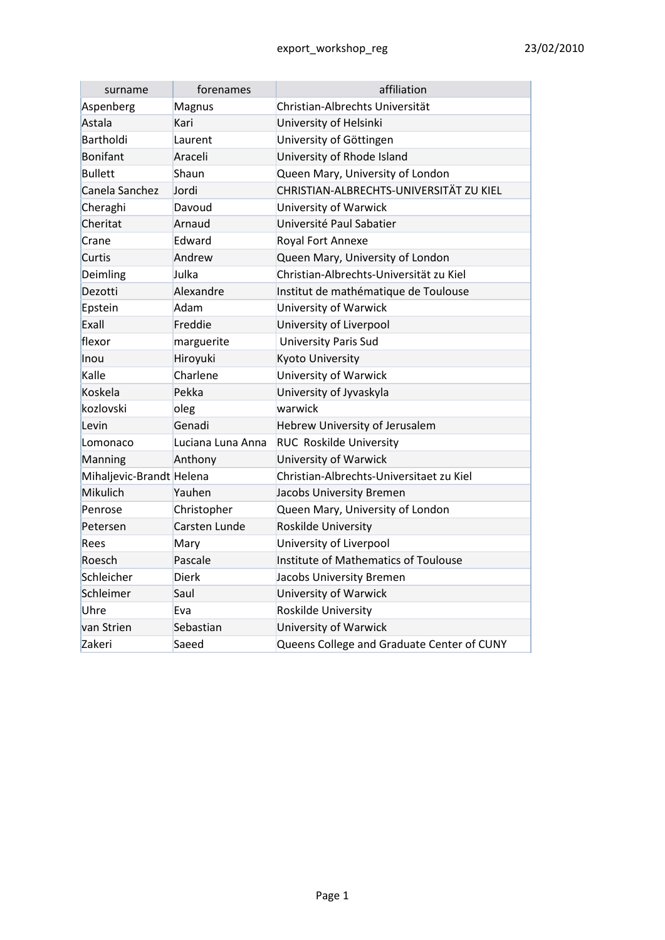| surname                  | forenames         | affiliation                                 |  |
|--------------------------|-------------------|---------------------------------------------|--|
| Aspenberg                | Magnus            | Christian-Albrechts Universität             |  |
| Astala                   | Kari              | University of Helsinki                      |  |
| Bartholdi                | Laurent           | University of Göttingen                     |  |
| <b>Bonifant</b>          | Araceli           | University of Rhode Island                  |  |
| <b>Bullett</b>           | Shaun             | Queen Mary, University of London            |  |
| Canela Sanchez           | Jordi             | CHRISTIAN-ALBRECHTS-UNIVERSITÄT ZU KIEL     |  |
| Cheraghi                 | Davoud            | University of Warwick                       |  |
| Cheritat                 | Arnaud            | Université Paul Sabatier                    |  |
| Crane                    | Edward            | Royal Fort Annexe                           |  |
| Curtis                   | Andrew            | Queen Mary, University of London            |  |
| Deimling                 | Julka             | Christian-Albrechts-Universität zu Kiel     |  |
| Dezotti                  | Alexandre         | Institut de mathématique de Toulouse        |  |
| Epstein                  | Adam              | University of Warwick                       |  |
| Exall                    | Freddie           | University of Liverpool                     |  |
| flexor                   | marguerite        | <b>University Paris Sud</b>                 |  |
| Inou                     | Hiroyuki          | Kyoto University                            |  |
| Kalle                    | Charlene          | University of Warwick                       |  |
| Koskela                  | Pekka             | University of Jyvaskyla                     |  |
| kozlovski                | oleg              | warwick                                     |  |
| Levin                    | Genadi            | Hebrew University of Jerusalem              |  |
| Lomonaco                 | Luciana Luna Anna | <b>RUC Roskilde University</b>              |  |
| Manning                  | Anthony           | University of Warwick                       |  |
| Mihaljevic-Brandt Helena |                   | Christian-Albrechts-Universitaet zu Kiel    |  |
| Mikulich                 | Yauhen            | Jacobs University Bremen                    |  |
| Penrose                  | Christopher       | Queen Mary, University of London            |  |
| Petersen                 | Carsten Lunde     | Roskilde University                         |  |
| Rees                     | Mary              | University of Liverpool                     |  |
| Roesch                   | Pascale           | <b>Institute of Mathematics of Toulouse</b> |  |
| Schleicher               | Dierk             | Jacobs University Bremen                    |  |
| Schleimer                | Saul              | University of Warwick                       |  |
| Uhre                     | Eva               | Roskilde University                         |  |
| van Strien               | Sebastian         | University of Warwick                       |  |
| Zakeri                   | Saeed             | Queens College and Graduate Center of CUNY  |  |